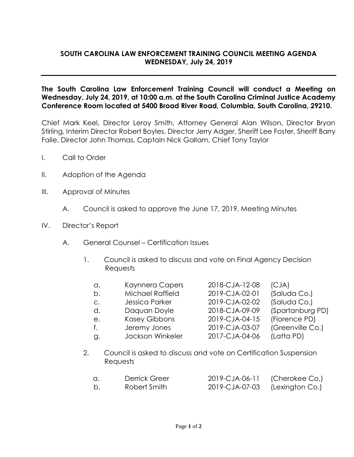## **SOUTH CAROLINA LAW ENFORCEMENT TRAINING COUNCIL MEETING AGENDA WEDNESDAY, July 24, 2019**

**The South Carolina Law Enforcement Training Council will conduct a Meeting on Wednesday, July 24, 2019, at 10:00 a.m. at the South Carolina Criminal Justice Academy Conference Room located at 5400 Broad River Road, Columbia, South Carolina, 29210.** 

Chief Mark Keel, Director Leroy Smith, Attorney General Alan Wilson, Director Bryan Stirling, Interim Director Robert Boyles, Director Jerry Adger, Sheriff Lee Foster, Sheriff Barry Faile, Director John Thomas, Captain Nick Gallam, Chief Tony Taylor

- I. Call to Order
- II. Adoption of the Agenda
- III. Approval of Minutes
	- A. Council is asked to approve the June 17, 2019, Meeting Minutes
- IV. Director's Report
	- A. General Counsel Certification Issues
		- 1. Council is asked to discuss and vote on Final Agency Decision **Requests**

| Kaynnera Capers      | 2018-CJA-12-08 | (CJA)                                                           |
|----------------------|----------------|-----------------------------------------------------------------|
| Michael Raffield     | 2019-CJA-02-01 | (Saluda Co.)                                                    |
| Jessica Parker       | 2019-CJA-02-02 | (Saluda Co.)                                                    |
| Daguan Doyle         | 2018-CJA-09-09 | (Spartanburg PD)                                                |
| <b>Kasey Gibbons</b> | 2019-CJA-04-15 | (Florence PD)                                                   |
| Jeremy Jones         | 2019-CJA-03-07 | (Greenville Co.)                                                |
| Jackson Winkeler     | 2017-CJA-04-06 | (Latta PD)                                                      |
|                      |                |                                                                 |
|                      |                | Council is polar de piccure qualitat an Contification Currentan |

2. Council is asked to discuss and vote on Certification Suspension **Requests** 

|  | Derrick Greer | 2019-CJA-06-11 (Cherokee Co.)  |  |
|--|---------------|--------------------------------|--|
|  | Robert Smith  | 2019-CJA-07-03 (Lexington Co.) |  |